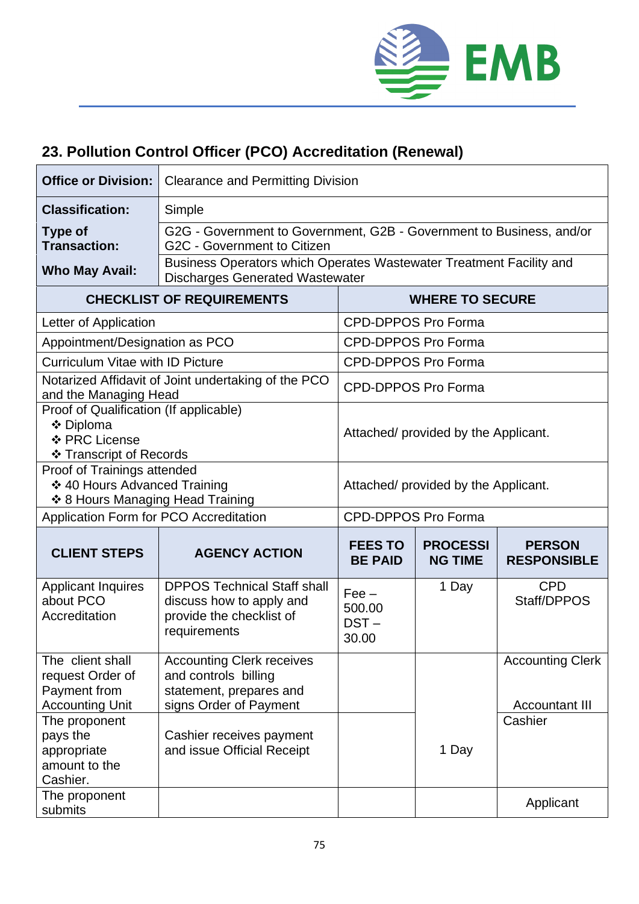

## **23. Pollution Control Officer (PCO) Accreditation (Renewal)**

| <b>Office or Division:</b>                                                                                                                              | <b>Clearance and Permitting Division</b>                                                                                                                                |                                       |                                   |                                                             |  |  |
|---------------------------------------------------------------------------------------------------------------------------------------------------------|-------------------------------------------------------------------------------------------------------------------------------------------------------------------------|---------------------------------------|-----------------------------------|-------------------------------------------------------------|--|--|
| <b>Classification:</b>                                                                                                                                  | Simple                                                                                                                                                                  |                                       |                                   |                                                             |  |  |
| <b>Type of</b><br><b>Transaction:</b>                                                                                                                   | G2G - Government to Government, G2B - Government to Business, and/or<br>G2C - Government to Citizen                                                                     |                                       |                                   |                                                             |  |  |
| <b>Who May Avail:</b>                                                                                                                                   | Business Operators which Operates Wastewater Treatment Facility and<br><b>Discharges Generated Wastewater</b>                                                           |                                       |                                   |                                                             |  |  |
| <b>CHECKLIST OF REQUIREMENTS</b>                                                                                                                        | <b>WHERE TO SECURE</b>                                                                                                                                                  |                                       |                                   |                                                             |  |  |
| Letter of Application                                                                                                                                   |                                                                                                                                                                         | CPD-DPPOS Pro Forma                   |                                   |                                                             |  |  |
| Appointment/Designation as PCO                                                                                                                          |                                                                                                                                                                         | <b>CPD-DPPOS Pro Forma</b>            |                                   |                                                             |  |  |
| <b>Curriculum Vitae with ID Picture</b>                                                                                                                 |                                                                                                                                                                         | <b>CPD-DPPOS Pro Forma</b>            |                                   |                                                             |  |  |
| Notarized Affidavit of Joint undertaking of the PCO<br>and the Managing Head                                                                            |                                                                                                                                                                         | CPD-DPPOS Pro Forma                   |                                   |                                                             |  |  |
| Proof of Qualification (If applicable)<br>❖ Diploma<br>❖ PRC License<br>❖ Transcript of Records                                                         |                                                                                                                                                                         | Attached/ provided by the Applicant.  |                                   |                                                             |  |  |
| Proof of Trainings attended<br>❖ 40 Hours Advanced Training<br>❖ 8 Hours Managing Head Training                                                         |                                                                                                                                                                         | Attached/ provided by the Applicant.  |                                   |                                                             |  |  |
| Application Form for PCO Accreditation                                                                                                                  |                                                                                                                                                                         | CPD-DPPOS Pro Forma                   |                                   |                                                             |  |  |
| <b>CLIENT STEPS</b>                                                                                                                                     | <b>AGENCY ACTION</b>                                                                                                                                                    | <b>FEES TO</b><br><b>BE PAID</b>      | <b>PROCESSI</b><br><b>NG TIME</b> | <b>PERSON</b><br><b>RESPONSIBLE</b>                         |  |  |
| <b>Applicant Inquires</b><br>about PCO<br>Accreditation                                                                                                 | <b>DPPOS Technical Staff shall</b><br>discuss how to apply and<br>provide the checklist of<br>requirements                                                              | $Fee -$<br>500.00<br>$DST -$<br>30.00 | 1 Day                             | <b>CPD</b><br>Staff/DPPOS                                   |  |  |
| The client shall<br>request Order of<br>Payment from<br><b>Accounting Unit</b><br>The proponent<br>pays the<br>appropriate<br>amount to the<br>Cashier. | <b>Accounting Clerk receives</b><br>and controls billing<br>statement, prepares and<br>signs Order of Payment<br>Cashier receives payment<br>and issue Official Receipt |                                       | 1 Day                             | <b>Accounting Clerk</b><br><b>Accountant III</b><br>Cashier |  |  |
| The proponent<br>submits                                                                                                                                |                                                                                                                                                                         |                                       |                                   | Applicant                                                   |  |  |